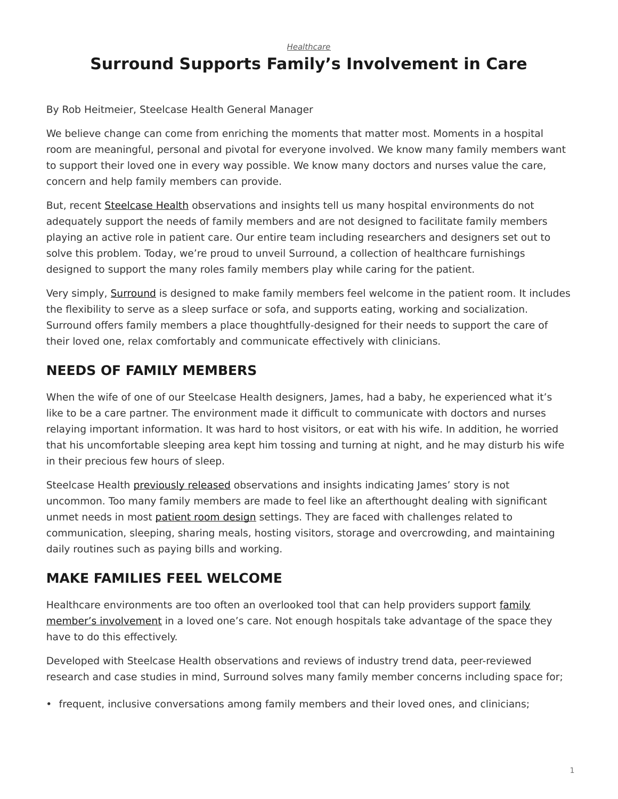*[Healthcare](https://www.steelcase.com/research/topics/healthcare/)*

# <span id="page-0-0"></span>**Surround Supports Family's Involvement in Care**

### By Rob Heitmeier, Steelcase Health General Manager

We believe change can come from enriching the moments that matter most. Moments in a hospital room are meaningful, personal and pivotal for everyone involved. We know many family members want to support their loved one in every way possible. We know many doctors and nurses value the care, concern and help family members can provide.

But, recent [Steelcase Health](https://www.steelcase.com/blog/new-health-insights-family-face-unmet-needs/) observations and insights tell us many hospital environments do not adequately support the needs of family members and are not designed to facilitate family members playing an active role in patient care. Our entire team including researchers and designers set out to solve this problem. Today, we're proud to unveil Surround, a collection of healthcare furnishings designed to support the many roles family members play while caring for the patient.

Very simply, [Surround](http://steelcasehealth.com/surround) is designed to make family members feel welcome in the patient room. It includes the flexibility to serve as a sleep surface or sofa, and supports eating, working and socialization. Surround offers family members a place thoughtfully-designed for their needs to support the care of their loved one, relax comfortably and communicate effectively with clinicians.

## **NEEDS OF FAMILY MEMBERS**

When the wife of one of our Steelcase Health designers, James, had a baby, he experienced what it's like to be a care partner. The environment made it difficult to communicate with doctors and nurses relaying important information. It was hard to host visitors, or eat with his wife. In addition, he worried that his uncomfortable sleeping area kept him tossing and turning at night, and he may disturb his wife in their precious few hours of sleep.

Steelcase Health [previously released](https://www.steelcase.com/blog/new-health-insights-family-face-unmet-needs/) observations and insights indicating James' story is not uncommon. Too many family members are made to feel like an afterthought dealing with significant unmet needs in most [patient room design](https://www.steelcase.com/insights/articles/patient-rooms-a-positive-prognosis/) settings. They are faced with challenges related to communication, sleeping, sharing meals, hosting visitors, storage and overcrowding, and maintaining daily routines such as paying bills and working.

### **MAKE FAMILIES FEEL WELCOME**

Healthcare environments are too often an overlooked tool that can help providers support [family](https://www.steelcase.com/blog/new-health-insights-family-face-unmet-needs/) [member's involvement](https://www.steelcase.com/blog/new-health-insights-family-face-unmet-needs/) in a loved one's care. Not enough hospitals take advantage of the space they have to do this effectively.

Developed with Steelcase Health observations and reviews of industry trend data, peer-reviewed research and case studies in mind, Surround solves many family member concerns including space for;

• frequent, inclusive conversations among family members and their loved ones, and clinicians;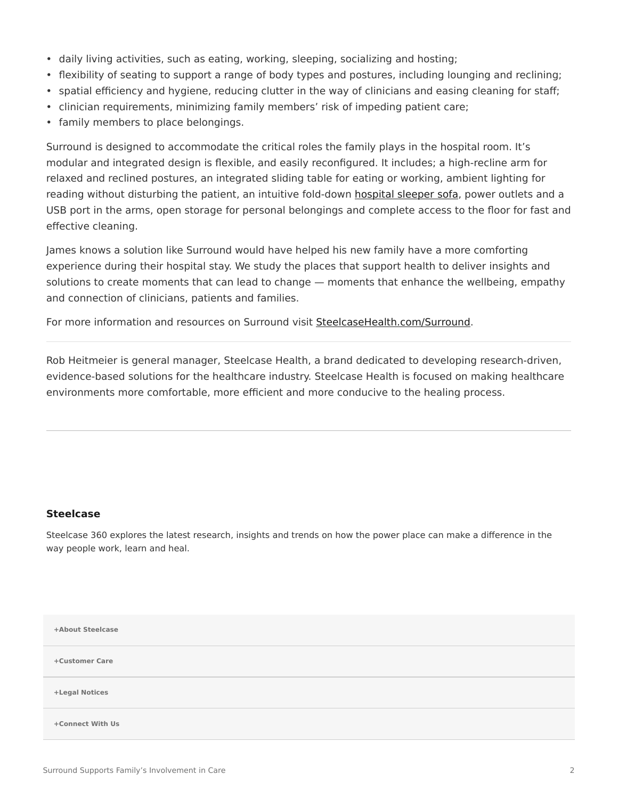- daily living activities, such as eating, working, sleeping, socializing and hosting;
- flexibility of seating to support a range of body types and postures, including lounging and reclining;
- spatial efficiency and hygiene, reducing clutter in the way of clinicians and easing cleaning for staff;
- clinician requirements, minimizing family members' risk of impeding patient care;
- family members to place belongings.

Surround is designed to accommodate the critical roles the family plays in the hospital room. It's modular and integrated design is flexible, and easily reconfigured. It includes; a high-recline arm for relaxed and reclined postures, an integrated sliding table for eating or working, ambient lighting for reading without disturbing the patient, an intuitive fold-down [hospital sleeper sofa](https://www.steelcase.com/products/sofas/), power outlets and a USB port in the arms, open storage for personal belongings and complete access to the floor for fast and effective cleaning.

James knows a solution like Surround would have helped his new family have a more comforting experience during their hospital stay. We study the places that support health to deliver insights and solutions to create moments that can lead to change — moments that enhance the wellbeing, empathy and connection of clinicians, patients and families.

For more information and resources on Surround visit [SteelcaseHealth.com/Surround](http://steelcasehealth.com/surround).

Rob Heitmeier is general manager, Steelcase Health, a brand dedicated to developing research-driven, evidence-based solutions for the healthcare industry. Steelcase Health is focused on making healthcare environments more comfortable, more efficient and more conducive to the healing process.

#### **[Steelcase](https://www.steelcase.com/research/articles/author/steelcase-360/)**

Steelcase 360 explores the latest research, insights and trends on how the power place can make a difference in the way people work, learn and heal.

| +About Steelcase |  |
|------------------|--|
| +Customer Care   |  |
| +Legal Notices   |  |
| +Connect With Us |  |